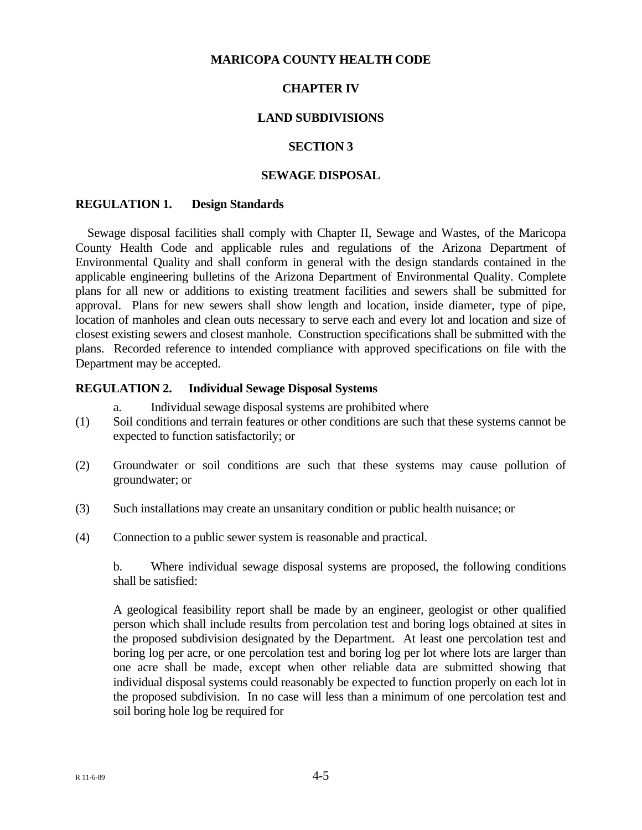## **MARICOPA COUNTY HEALTH CODE**

# **CHAPTER IV**

# **LAND SUBDIVISIONS**

## **SECTION 3**

## **SEWAGE DISPOSAL**

#### **REGULATION 1. Design Standards**

 Sewage disposal facilities shall comply with Chapter II, Sewage and Wastes, of the Maricopa County Health Code and applicable rules and regulations of the Arizona Department of Environmental Quality and shall conform in general with the design standards contained in the applicable engineering bulletins of the Arizona Department of Environmental Quality. Complete plans for all new or additions to existing treatment facilities and sewers shall be submitted for approval. Plans for new sewers shall show length and location, inside diameter, type of pipe, location of manholes and clean outs necessary to serve each and every lot and location and size of closest existing sewers and closest manhole. Construction specifications shall be submitted with the plans. Recorded reference to intended compliance with approved specifications on file with the Department may be accepted.

## **REGULATION 2. Individual Sewage Disposal Systems**

- a. Individual sewage disposal systems are prohibited where
- (1) Soil conditions and terrain features or other conditions are such that these systems cannot be expected to function satisfactorily; or
- (2) Groundwater or soil conditions are such that these systems may cause pollution of groundwater; or
- (3) Such installations may create an unsanitary condition or public health nuisance; or
- (4) Connection to a public sewer system is reasonable and practical.

b. Where individual sewage disposal systems are proposed, the following conditions shall be satisfied:

 A geological feasibility report shall be made by an engineer, geologist or other qualified person which shall include results from percolation test and boring logs obtained at sites in the proposed subdivision designated by the Department. At least one percolation test and boring log per acre, or one percolation test and boring log per lot where lots are larger than one acre shall be made, except when other reliable data are submitted showing that individual disposal systems could reasonably be expected to function properly on each lot in the proposed subdivision. In no case will less than a minimum of one percolation test and soil boring hole log be required for